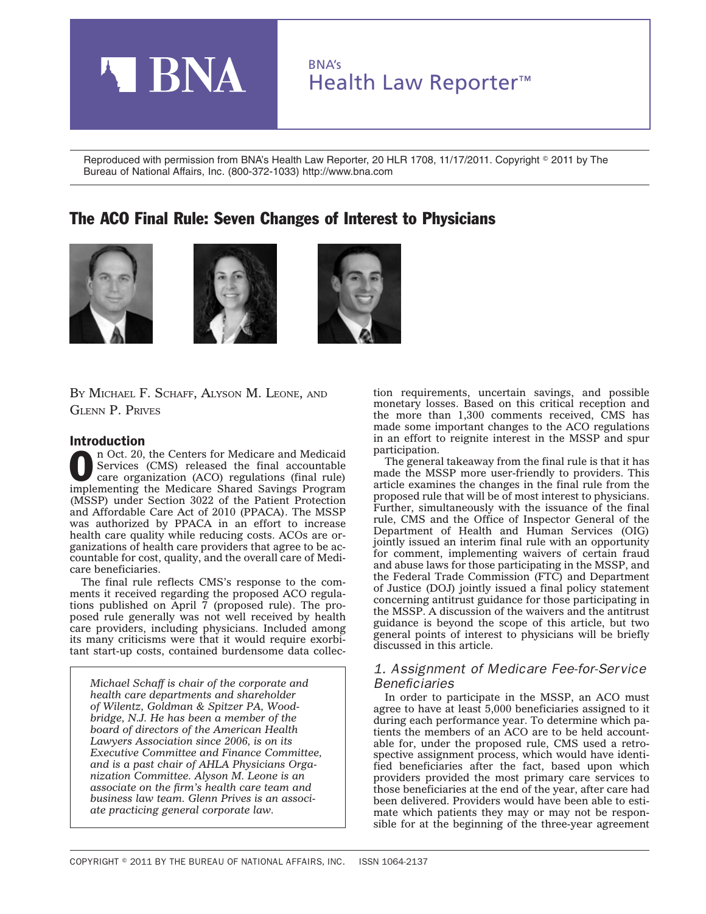

Reproduced with permission from BNA's Health Law Reporter, 20 HLR 1708, 11/17/2011. Copyright © 2011 by The Bureau of National Affairs, Inc. (800-372-1033) http://www.bna.com

# The ACO Final Rule: Seven Changes of Interest to Physicians







BY MICHAEL F. SCHAFF, ALYSON M. LEONE, AND GLENN P. PRIVES

### Introduction

n Oct. 20, the Centers for Medicare and Medicaid<br>Services (CMS) released the final accountable<br>care organization (ACO) regulations (final rule) Services (CMS) released the final accountable care organization (ACO) regulations (final rule) implementing the Medicare Shared Savings Program (MSSP) under Section 3022 of the Patient Protection and Affordable Care Act of 2010 (PPACA). The MSSP was authorized by PPACA in an effort to increase health care quality while reducing costs. ACOs are organizations of health care providers that agree to be accountable for cost, quality, and the overall care of Medicare beneficiaries.

The final rule reflects CMS's response to the comments it received regarding the proposed ACO regulations published on April 7 (proposed rule). The proposed rule generally was not well received by health care providers, including physicians. Included among its many criticisms were that it would require exorbitant start-up costs, contained burdensome data collec-

*Michael Schaff is chair of the corporate and health care departments and shareholder of Wilentz, Goldman & Spitzer PA, Woodbridge, N.J. He has been a member of the board of directors of the American Health Lawyers Association since 2006, is on its Executive Committee and Finance Committee, and is a past chair of AHLA Physicians Organization Committee. Alyson M. Leone is an associate on the firm's health care team and business law team. Glenn Prives is an associate practicing general corporate law.*

tion requirements, uncertain savings, and possible monetary losses. Based on this critical reception and the more than 1,300 comments received, CMS has made some important changes to the ACO regulations in an effort to reignite interest in the MSSP and spur participation.

The general takeaway from the final rule is that it has made the MSSP more user-friendly to providers. This article examines the changes in the final rule from the proposed rule that will be of most interest to physicians. Further, simultaneously with the issuance of the final rule, CMS and the Office of Inspector General of the Department of Health and Human Services (OIG) jointly issued an interim final rule with an opportunity for comment, implementing waivers of certain fraud and abuse laws for those participating in the MSSP, and the Federal Trade Commission (FTC) and Department of Justice (DOJ) jointly issued a final policy statement concerning antitrust guidance for those participating in the MSSP. A discussion of the waivers and the antitrust guidance is beyond the scope of this article, but two general points of interest to physicians will be briefly discussed in this article.

### *1. Assignment of Medicare Fee-for-Service Beneficiaries*

In order to participate in the MSSP, an ACO must agree to have at least 5,000 beneficiaries assigned to it during each performance year. To determine which patients the members of an ACO are to be held accountable for, under the proposed rule, CMS used a retrospective assignment process, which would have identified beneficiaries after the fact, based upon which providers provided the most primary care services to those beneficiaries at the end of the year, after care had been delivered. Providers would have been able to estimate which patients they may or may not be responsible for at the beginning of the three-year agreement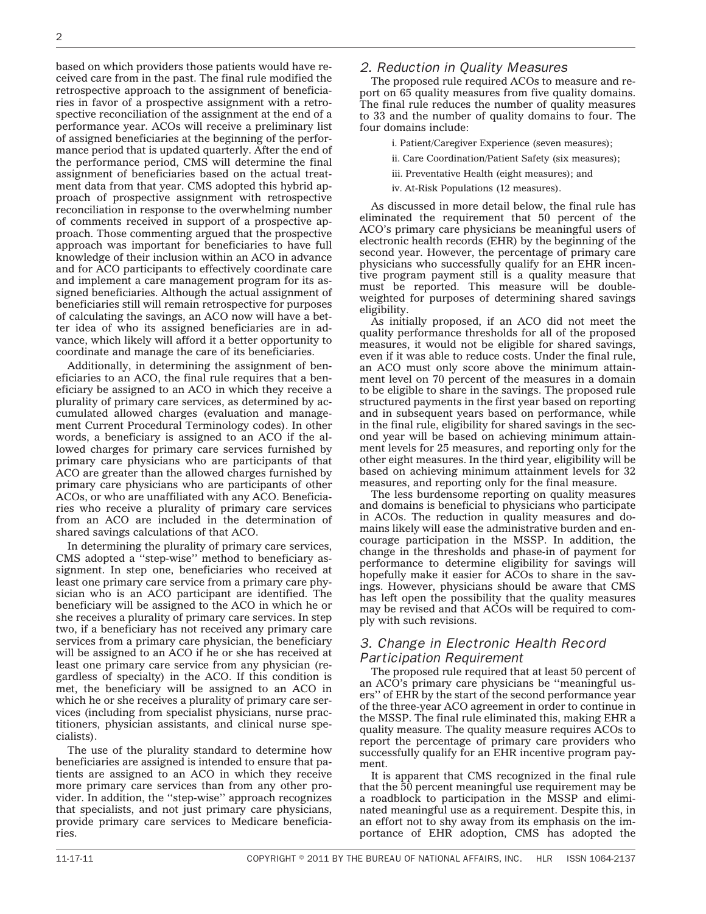based on which providers those patients would have received care from in the past. The final rule modified the retrospective approach to the assignment of beneficiaries in favor of a prospective assignment with a retrospective reconciliation of the assignment at the end of a performance year. ACOs will receive a preliminary list of assigned beneficiaries at the beginning of the performance period that is updated quarterly. After the end of the performance period, CMS will determine the final assignment of beneficiaries based on the actual treatment data from that year. CMS adopted this hybrid approach of prospective assignment with retrospective reconciliation in response to the overwhelming number of comments received in support of a prospective approach. Those commenting argued that the prospective approach was important for beneficiaries to have full knowledge of their inclusion within an ACO in advance and for ACO participants to effectively coordinate care and implement a care management program for its assigned beneficiaries. Although the actual assignment of beneficiaries still will remain retrospective for purposes of calculating the savings, an ACO now will have a better idea of who its assigned beneficiaries are in advance, which likely will afford it a better opportunity to coordinate and manage the care of its beneficiaries.

Additionally, in determining the assignment of beneficiaries to an ACO, the final rule requires that a beneficiary be assigned to an ACO in which they receive a plurality of primary care services, as determined by accumulated allowed charges (evaluation and management Current Procedural Terminology codes). In other words, a beneficiary is assigned to an ACO if the allowed charges for primary care services furnished by primary care physicians who are participants of that ACO are greater than the allowed charges furnished by primary care physicians who are participants of other ACOs, or who are unaffiliated with any ACO. Beneficiaries who receive a plurality of primary care services from an ACO are included in the determination of shared savings calculations of that ACO.

In determining the plurality of primary care services, CMS adopted a ''step-wise'' method to beneficiary assignment. In step one, beneficiaries who received at least one primary care service from a primary care physician who is an ACO participant are identified. The beneficiary will be assigned to the ACO in which he or she receives a plurality of primary care services. In step two, if a beneficiary has not received any primary care services from a primary care physician, the beneficiary will be assigned to an ACO if he or she has received at least one primary care service from any physician (regardless of specialty) in the ACO. If this condition is met, the beneficiary will be assigned to an ACO in which he or she receives a plurality of primary care services (including from specialist physicians, nurse practitioners, physician assistants, and clinical nurse specialists).

The use of the plurality standard to determine how beneficiaries are assigned is intended to ensure that patients are assigned to an ACO in which they receive more primary care services than from any other provider. In addition, the ''step-wise'' approach recognizes that specialists, and not just primary care physicians, provide primary care services to Medicare beneficiaries.

#### *2. Reduction in Quality Measures*

The proposed rule required ACOs to measure and report on 65 quality measures from five quality domains. The final rule reduces the number of quality measures to 33 and the number of quality domains to four. The four domains include:

- i. Patient/Caregiver Experience (seven measures);
- ii. Care Coordination/Patient Safety (six measures);
- iii. Preventative Health (eight measures); and
- iv. At-Risk Populations (12 measures).

As discussed in more detail below, the final rule has eliminated the requirement that 50 percent of the ACO's primary care physicians be meaningful users of electronic health records (EHR) by the beginning of the second year. However, the percentage of primary care physicians who successfully qualify for an EHR incentive program payment still is a quality measure that must be reported. This measure will be doubleweighted for purposes of determining shared savings eligibility.

As initially proposed, if an ACO did not meet the quality performance thresholds for all of the proposed measures, it would not be eligible for shared savings, even if it was able to reduce costs. Under the final rule, an ACO must only score above the minimum attainment level on 70 percent of the measures in a domain to be eligible to share in the savings. The proposed rule structured payments in the first year based on reporting and in subsequent years based on performance, while in the final rule, eligibility for shared savings in the second year will be based on achieving minimum attainment levels for 25 measures, and reporting only for the other eight measures. In the third year, eligibility will be based on achieving minimum attainment levels for 32 measures, and reporting only for the final measure.

The less burdensome reporting on quality measures and domains is beneficial to physicians who participate in ACOs. The reduction in quality measures and domains likely will ease the administrative burden and encourage participation in the MSSP. In addition, the change in the thresholds and phase-in of payment for performance to determine eligibility for savings will hopefully make it easier for ACOs to share in the savings. However, physicians should be aware that CMS has left open the possibility that the quality measures may be revised and that ACOs will be required to comply with such revisions.

## *3. Change in Electronic Health Record Participation Requirement*

The proposed rule required that at least 50 percent of an ACO's primary care physicians be ''meaningful users'' of EHR by the start of the second performance year of the three-year ACO agreement in order to continue in the MSSP. The final rule eliminated this, making EHR a quality measure. The quality measure requires ACOs to report the percentage of primary care providers who successfully qualify for an EHR incentive program payment.

It is apparent that CMS recognized in the final rule that the 50 percent meaningful use requirement may be a roadblock to participation in the MSSP and eliminated meaningful use as a requirement. Despite this, in an effort not to shy away from its emphasis on the importance of EHR adoption, CMS has adopted the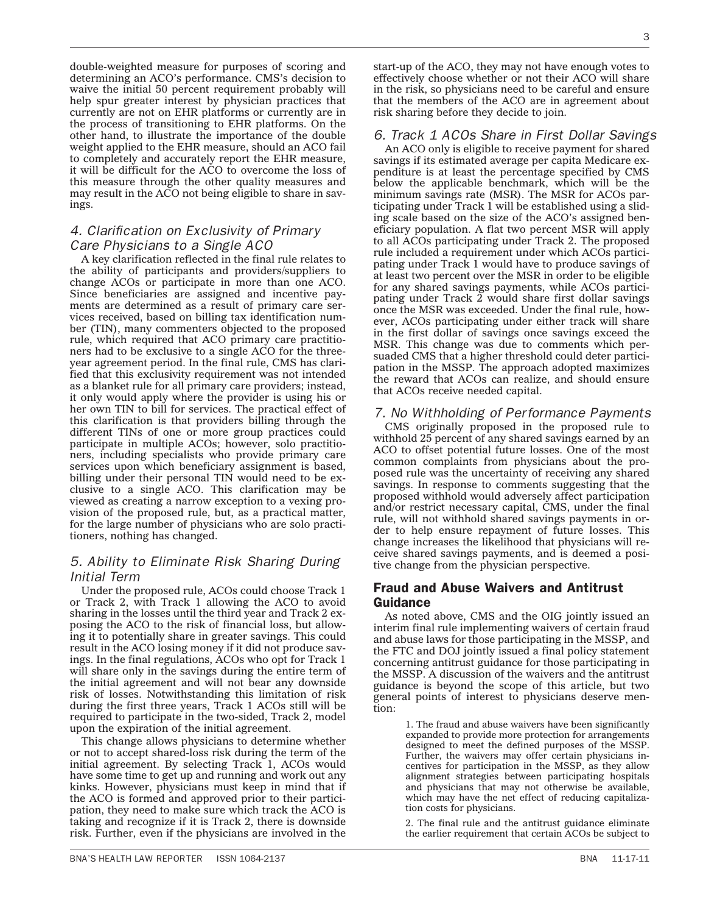double-weighted measure for purposes of scoring and determining an ACO's performance. CMS's decision to waive the initial 50 percent requirement probably will help spur greater interest by physician practices that currently are not on EHR platforms or currently are in the process of transitioning to EHR platforms. On the other hand, to illustrate the importance of the double weight applied to the EHR measure, should an ACO fail to completely and accurately report the EHR measure, it will be difficult for the ACO to overcome the loss of this measure through the other quality measures and may result in the ACO not being eligible to share in savings.

# *4. Clarification on Exclusivity of Primary Care Physicians to a Single ACO*

A key clarification reflected in the final rule relates to the ability of participants and providers/suppliers to change ACOs or participate in more than one ACO. Since beneficiaries are assigned and incentive payments are determined as a result of primary care services received, based on billing tax identification number (TIN), many commenters objected to the proposed rule, which required that ACO primary care practitioners had to be exclusive to a single ACO for the threeyear agreement period. In the final rule, CMS has clarified that this exclusivity requirement was not intended as a blanket rule for all primary care providers; instead, it only would apply where the provider is using his or her own TIN to bill for services. The practical effect of this clarification is that providers billing through the different TINs of one or more group practices could participate in multiple ACOs; however, solo practitioners, including specialists who provide primary care services upon which beneficiary assignment is based, billing under their personal TIN would need to be exclusive to a single ACO. This clarification may be viewed as creating a narrow exception to a vexing provision of the proposed rule, but, as a practical matter, for the large number of physicians who are solo practitioners, nothing has changed.

# *5. Ability to Eliminate Risk Sharing During Initial Term*

Under the proposed rule, ACOs could choose Track 1 or Track 2, with Track 1 allowing the ACO to avoid sharing in the losses until the third year and Track 2 exposing the ACO to the risk of financial loss, but allowing it to potentially share in greater savings. This could result in the ACO losing money if it did not produce savings. In the final regulations, ACOs who opt for Track 1 will share only in the savings during the entire term of the initial agreement and will not bear any downside risk of losses. Notwithstanding this limitation of risk during the first three years, Track 1 ACOs still will be required to participate in the two-sided, Track 2, model upon the expiration of the initial agreement.

This change allows physicians to determine whether or not to accept shared-loss risk during the term of the initial agreement. By selecting Track 1, ACOs would have some time to get up and running and work out any kinks. However, physicians must keep in mind that if the ACO is formed and approved prior to their participation, they need to make sure which track the ACO is taking and recognize if it is Track 2, there is downside risk. Further, even if the physicians are involved in the

start-up of the ACO, they may not have enough votes to effectively choose whether or not their ACO will share in the risk, so physicians need to be careful and ensure that the members of the ACO are in agreement about risk sharing before they decide to join.

# *6. Track 1 ACOs Share in First Dollar Savings*

An ACO only is eligible to receive payment for shared savings if its estimated average per capita Medicare expenditure is at least the percentage specified by CMS below the applicable benchmark, which will be the minimum savings rate (MSR). The MSR for ACOs participating under Track 1 will be established using a sliding scale based on the size of the ACO's assigned beneficiary population. A flat two percent MSR will apply to all ACOs participating under Track 2. The proposed rule included a requirement under which ACOs participating under Track 1 would have to produce savings of at least two percent over the MSR in order to be eligible for any shared savings payments, while ACOs participating under Track 2 would share first dollar savings once the MSR was exceeded. Under the final rule, however, ACOs participating under either track will share in the first dollar of savings once savings exceed the MSR. This change was due to comments which persuaded CMS that a higher threshold could deter participation in the MSSP. The approach adopted maximizes the reward that ACOs can realize, and should ensure that ACOs receive needed capital.

## *7. No Withholding of Per formance Payments*

CMS originally proposed in the proposed rule to withhold 25 percent of any shared savings earned by an ACO to offset potential future losses. One of the most common complaints from physicians about the proposed rule was the uncertainty of receiving any shared savings. In response to comments suggesting that the proposed withhold would adversely affect participation and/or restrict necessary capital, CMS, under the final rule, will not withhold shared savings payments in order to help ensure repayment of future losses. This change increases the likelihood that physicians will receive shared savings payments, and is deemed a positive change from the physician perspective.

### Fraud and Abuse Waivers and Antitrust Guidance

As noted above, CMS and the OIG jointly issued an interim final rule implementing waivers of certain fraud and abuse laws for those participating in the MSSP, and the FTC and DOJ jointly issued a final policy statement concerning antitrust guidance for those participating in the MSSP. A discussion of the waivers and the antitrust guidance is beyond the scope of this article, but two general points of interest to physicians deserve mention:

> 1. The fraud and abuse waivers have been significantly expanded to provide more protection for arrangements designed to meet the defined purposes of the MSSP. Further, the waivers may offer certain physicians incentives for participation in the MSSP, as they allow alignment strategies between participating hospitals and physicians that may not otherwise be available, which may have the net effect of reducing capitalization costs for physicians.

> 2. The final rule and the antitrust guidance eliminate the earlier requirement that certain ACOs be subject to

3